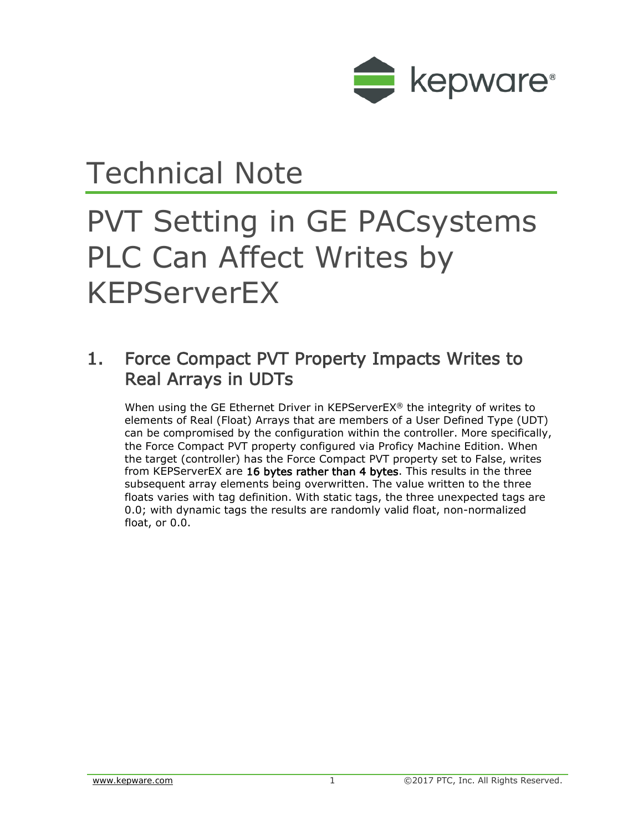

## Technical Note

## PVT Setting in GE PACsystems PLC Can Affect Writes by KEPServerEX

## 1. Force Compact PVT Property Impacts Writes to Real Arrays in UDTs

When using the GE Ethernet Driver in KEPServerEX® the integrity of writes to elements of Real (Float) Arrays that are members of a User Defined Type (UDT) can be compromised by the configuration within the controller. More specifically, the Force Compact PVT property configured via Proficy Machine Edition. When the target (controller) has the Force Compact PVT property set to False, writes from KEPServerEX are 16 bytes rather than 4 bytes. This results in the three subsequent array elements being overwritten. The value written to the three floats varies with tag definition. With static tags, the three unexpected tags are 0.0; with dynamic tags the results are randomly valid float, non-normalized float, or 0.0.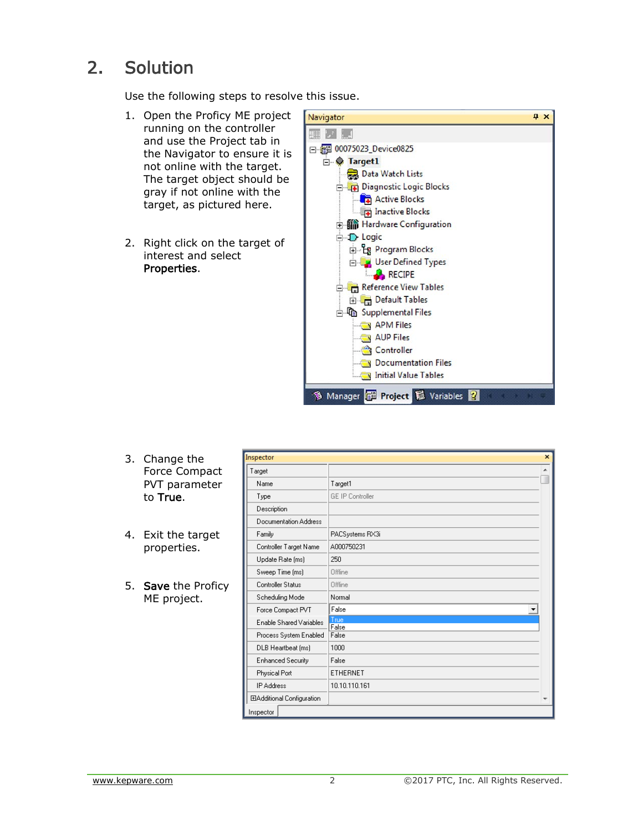## 2. Solution

Use the following steps to resolve this issue.

- 1. Open the Proficy ME project running on the controller and use the Project tab in the Navigator to ensure it is not online with the target. The target object should be gray if not online with the target, as pictured here.
- 2. Right click on the target of interest and select Properties.



- 3. Change the Force Compact PVT parameter to True.
- 4. Exit the target properties.
- 5. Save the Proficy ME project.

| Inspector                  | $\mathbf x$             |
|----------------------------|-------------------------|
| Target                     |                         |
| Name                       | Target1                 |
| Type                       | <b>GE IP Controller</b> |
| Description                |                         |
| Documentation Address      |                         |
| Family                     | PACSystems RX3i         |
| Controller Target Name     | A000750231              |
| Update Rate [ms]           | 250                     |
| Sweep Time [ms]            | <b>Offline</b>          |
| Controller Status          | Offline                 |
| Scheduling Mode            | Normal                  |
| Force Compact PVT          | False                   |
| Enable Shared Variables    | True<br>False           |
| Process System Enabled     | False                   |
| DLB Heartbeat [ms]         | 1000                    |
| <b>Enhanced Security</b>   | False                   |
| Physical Port              | ETHERNET                |
| <b>IP Address</b>          | 10.10.110.161           |
| ElAdditional Configuration |                         |
| Inspector                  |                         |